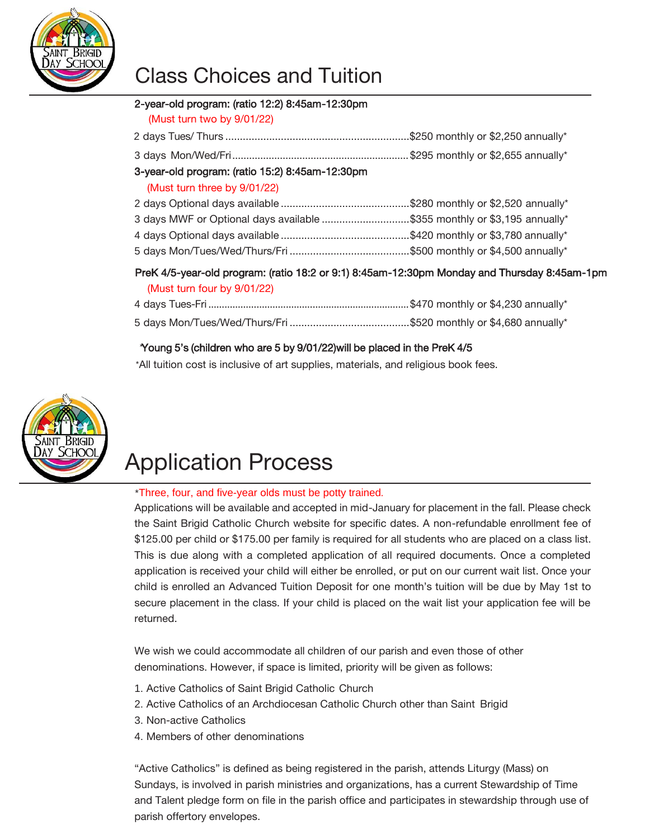

## Class Choices and Tuition

#### 2-year-old program: (ratio 12:2) 8:45am-12:30pm

(Must turn two by 9/01/22)

| 3-year-old program: (ratio 15:2) 8:45am-12:30pm                                                      |  |  |  |  |
|------------------------------------------------------------------------------------------------------|--|--|--|--|
| (Must turn three by 9/01/22)                                                                         |  |  |  |  |
|                                                                                                      |  |  |  |  |
| 3 days MWF or Optional days available \$355 monthly or \$3,195 annually*                             |  |  |  |  |
|                                                                                                      |  |  |  |  |
|                                                                                                      |  |  |  |  |
| Dualf All account dispositions further 40.0 cm 0.4) 0.4 Four 40.00 pm Marchan and Themselve 0.4 Four |  |  |  |  |

#### PreK 4/5-year-old program: (ratio 18:2 or 9:1) 8:45am-12:30pm Monday and Thursday 8:45am-1pm (Must turn four by 9/01/22)

### \*Young 5's (children who are 5 by 9/01/22)will be placed in the PreK 4/5

\*All tuition cost is inclusive of art supplies, materials, and religious book fees.



# Application Process

#### \*Three, four, and five-year olds must be potty trained*.*

Applications will be available and accepted in mid-January for placement in the fall. Please check the Saint Brigid Catholic Church website for specific dates. A non-refundable enrollment fee of \$125.00 per child or \$175.00 per family is required for all students who are placed on a class list. This is due along with a completed application of all required documents. Once a completed application is received your child will either be enrolled, or put on our current wait list. Once your child is enrolled an Advanced Tuition Deposit for one month's tuition will be due by May 1st to secure placement in the class. If your child is placed on the wait list your application fee will be returned.

We wish we could accommodate all children of our parish and even those of other denominations. However, if space is limited, priority will be given as follows:

- 1. Active Catholics of Saint Brigid Catholic Church
- 2. Active Catholics of an Archdiocesan Catholic Church other than Saint Brigid
- 3. Non-active Catholics
- 4. Members of other denominations

"Active Catholics" is defined as being registered in the parish, attends Liturgy (Mass) on Sundays, is involved in parish ministries and organizations, has a current Stewardship of Time and Talent pledge form on file in the parish office and participates in stewardship through use of parish offertory envelopes.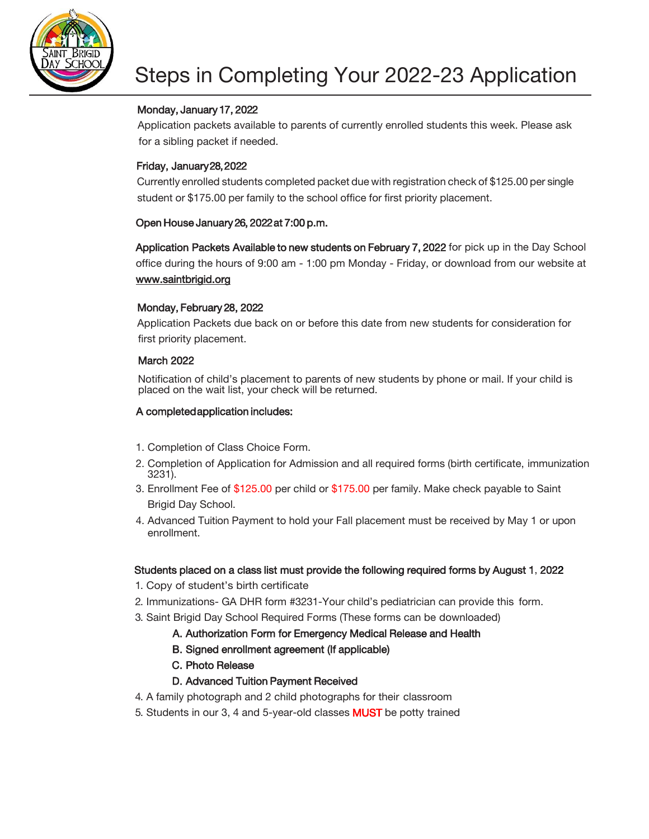

#### Monday, January 17, 2022

Application packets available to parents of currently enrolled students this week. Please ask for a sibling packet if needed.

#### Friday, January 28, 2022

Currently enrolled students completed packet due with registration check of \$125.00 per single student or \$175.00 per family to the school office for first priority placement.

#### Open House January 26, 2022 at 7:00 p.m.

[Application Packets A](http://www.saintbrigid.org/)vailable to new students on February 7, 2022 for pick up in the Day School office during the hours of 9:00 am - 1:00 pm Monday - Friday, or download from our website at www.saintbrigid.org

#### [Monday, February](http://www.saintbrigid.org/) 28, 2022

Application Packets due back on or before this date from new students for consideration for first priority placement.

#### March 2022

Notification of child's placement to parents of new students by phone or mail. If your child is placed on the wait list, your check will be returned.

#### A completed application includes:

- 1. Completion of Class Choice Form.
- 2. Completion of Application for Admission and all required forms (birth certificate, immunization 3231).
- 3. Enrollment Fee of \$125.00 per child or \$175.00 per family. Make check payable to Saint Brigid Day School.
- 4. Advanced Tuition Payment to hold your Fall placement must be received by May 1 or upon enrollment.

#### Students placed on a class list must provide the following required forms by August 1, 2022

- 1. Copy of student's birth certificate
- 2. Immunizations- GA DHR form #3231-Your child's pediatrician can provide this form.
- 3. Saint Brigid Day School Required Forms (These forms can be downloaded)
	- A. Authorization Form for Emergency Medical Release and Health
	- B. Signed enrollment agreement (If applicable)
	- C. Photo Release
	- D. Advanced Tuition Payment Received
- 4. A family photograph and 2 child photographs for their classroom
- 5. Students in our 3, 4 and 5-year-old classes MUST be potty trained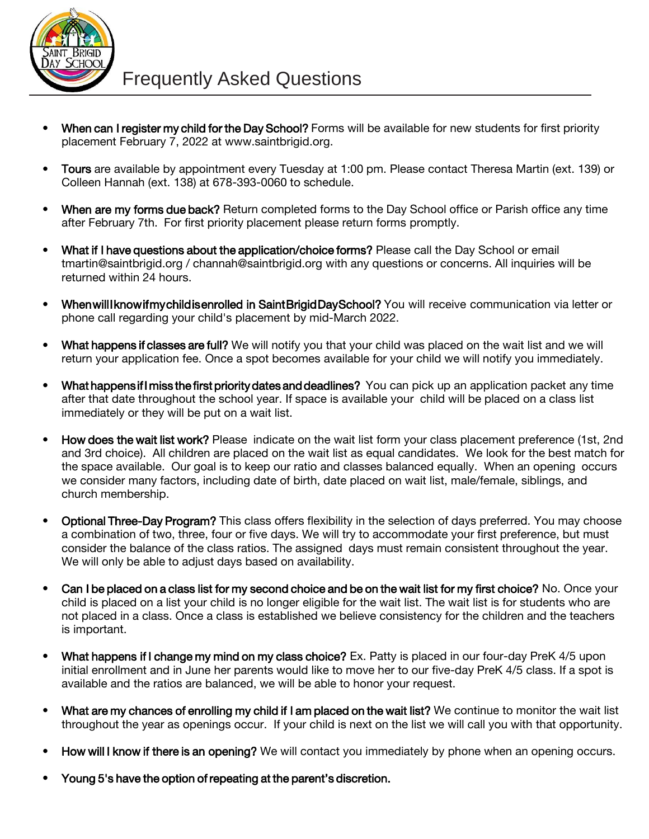

- When can I register my child for the Day School? Forms will be available for new students for first priority placement February 7, 2022 a[t www.saintbrigid.org.](http://www.saintbrigid.org/)
- Tours are available by appointment every Tuesday at 1:00 pm. Please contact Theresa Martin (ext. 139) or Colleen Hannah (ext. 138) at 678-393-0060 to schedule.
- When are my forms due back? Return completed forms to the Day School office or Parish office any time after February 7th. For first priority placement please return forms promptly.
- What if I have questions about the application/choice forms? Please call the Day School or email [tmartin@saintbrigid.org /](mailto:tmartin@saintbrigid.org) [channah@saintbrigid.org wi](mailto:channah@saintbrigid.org)th any questions or concerns. All inquiries will be returned within 24 hours.
- When will I know if my child is enrolled in Saint Brigid Day School? You will receive communication via letter or phone call regarding your child's placement by mid-March 2022.
- What happens if classes are full? We will notify you that your child was placed on the wait list and we will return your application fee. Once a spot becomes available for your child we will notify you immediately.
- What happens if I miss the first priority dates and deadlines? You can pick up an application packet any time after that date throughout the school year. If space is available your child will be placed on a class list immediately or they will be put on a wait list.
- How does the wait list work? Please indicate on the wait list form your class placement preference (1st, 2nd and 3rd choice). All children are placed on the wait list as equal candidates. We look for the best match for the space available. Our goal is to keep our ratio and classes balanced equally. When an opening occurs we consider many factors, including date of birth, date placed on wait list, male/female, siblings, and church membership.
- Optional Three-Day Program? This class offers flexibility in the selection of days preferred. You may choose a combination of two, three, four or five days. We will try to accommodate your first preference, but must consider the balance of the class ratios. The assigned days must remain consistent throughout the year. We will only be able to adjust days based on availability.
- Can I be placed on a class list for my second choice and be on the wait list for my first choice? No. Once your child is placed on a list your child is no longer eligible for the wait list. The wait list is for students who are not placed in a class. Once a class is established we believe consistency for the children and the teachers is important.
- What happens if I change my mind on my class choice? Ex. Patty is placed in our four-day PreK 4/5 upon initial enrollment and in June her parents would like to move her to our five-day PreK 4/5 class. If a spot is available and the ratios are balanced, we will be able to honor your request.
- What are my chances of enrolling my child if I am placed on the wait list? We continue to monitor the wait list throughout the year as openings occur. If your child is next on the list we will call you with that opportunity.
- How will I know if there is an opening? We will contact you immediately by phone when an opening occurs.
- Young 5's have the option of repeating at the parent's discretion.